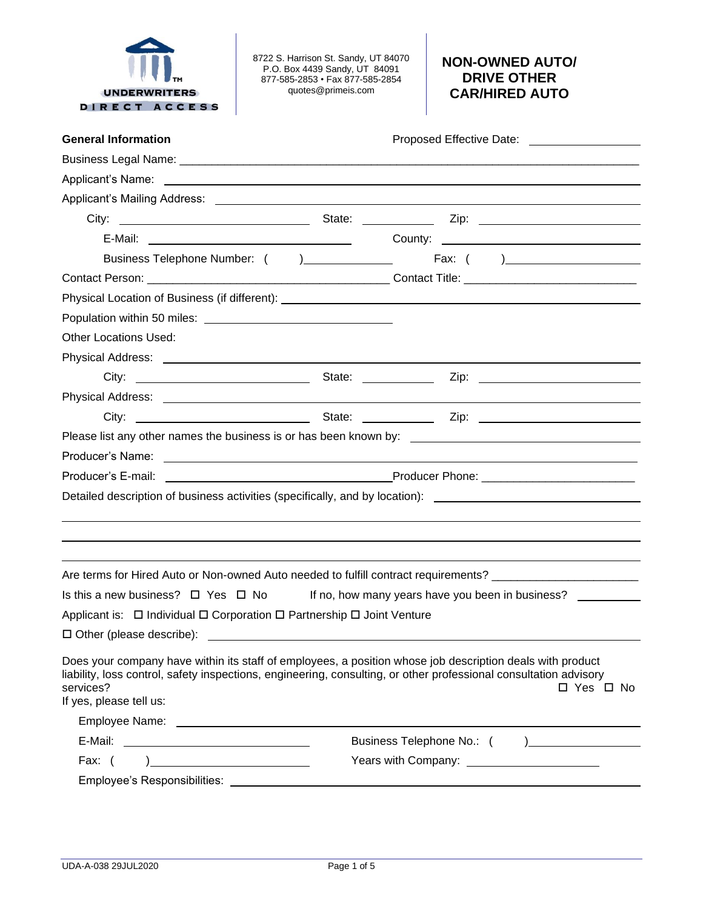

8722 S. Harrison St. Sandy, UT 84070 P.O. Box 4439 Sandy, UT 84091 877-585-2853 • Fax 877-585-2854 quotes@primeis.com

# **NON-OWNED AUTO/ DRIVE OTHER CAR/HIRED AUTO**

| <b>General Information</b>                                                                                                                                                                                                                                             |  | Proposed Effective Date: _____________________     |
|------------------------------------------------------------------------------------------------------------------------------------------------------------------------------------------------------------------------------------------------------------------------|--|----------------------------------------------------|
|                                                                                                                                                                                                                                                                        |  |                                                    |
| Applicant's Name: <u>example and the set of the set of the set of the set of the set of the set of the set of the set of the set of the set of the set of the set of the set of the set of the set of the set of the set of the </u>                                   |  |                                                    |
|                                                                                                                                                                                                                                                                        |  |                                                    |
|                                                                                                                                                                                                                                                                        |  |                                                    |
| E-Mail: County: County: County: County: County: County: County: County: County: County: County: County: County: County: County: County: County: County: County: County: County: County: County: County: County: County: County                                         |  |                                                    |
|                                                                                                                                                                                                                                                                        |  |                                                    |
|                                                                                                                                                                                                                                                                        |  |                                                    |
|                                                                                                                                                                                                                                                                        |  |                                                    |
|                                                                                                                                                                                                                                                                        |  |                                                    |
| <b>Other Locations Used:</b>                                                                                                                                                                                                                                           |  |                                                    |
|                                                                                                                                                                                                                                                                        |  |                                                    |
|                                                                                                                                                                                                                                                                        |  |                                                    |
|                                                                                                                                                                                                                                                                        |  |                                                    |
|                                                                                                                                                                                                                                                                        |  |                                                    |
|                                                                                                                                                                                                                                                                        |  |                                                    |
|                                                                                                                                                                                                                                                                        |  |                                                    |
| Producer's E-mail:                                                                                                                                                                                                                                                     |  |                                                    |
| Detailed description of business activities (specifically, and by location): _________________________________                                                                                                                                                         |  |                                                    |
|                                                                                                                                                                                                                                                                        |  |                                                    |
|                                                                                                                                                                                                                                                                        |  |                                                    |
|                                                                                                                                                                                                                                                                        |  |                                                    |
| Are terms for Hired Auto or Non-owned Auto needed to fulfill contract requirements? __________________________                                                                                                                                                         |  |                                                    |
| Is this a new business? $\Box$ Yes $\Box$ No                                                                                                                                                                                                                           |  | If no, how many years have you been in business?   |
| Applicant is: □ Individual □ Corporation □ Partnership □ Joint Venture                                                                                                                                                                                                 |  |                                                    |
|                                                                                                                                                                                                                                                                        |  |                                                    |
| Does your company have within its staff of employees, a position whose job description deals with product<br>liability, loss control, safety inspections, engineering, consulting, or other professional consultation advisory<br>services?<br>If yes, please tell us: |  | □ Yes □ No                                         |
|                                                                                                                                                                                                                                                                        |  |                                                    |
|                                                                                                                                                                                                                                                                        |  |                                                    |
| $\begin{array}{c} \hline \end{array}$<br>Fax: (                                                                                                                                                                                                                        |  | Years with Company: <u>_______________________</u> |
|                                                                                                                                                                                                                                                                        |  |                                                    |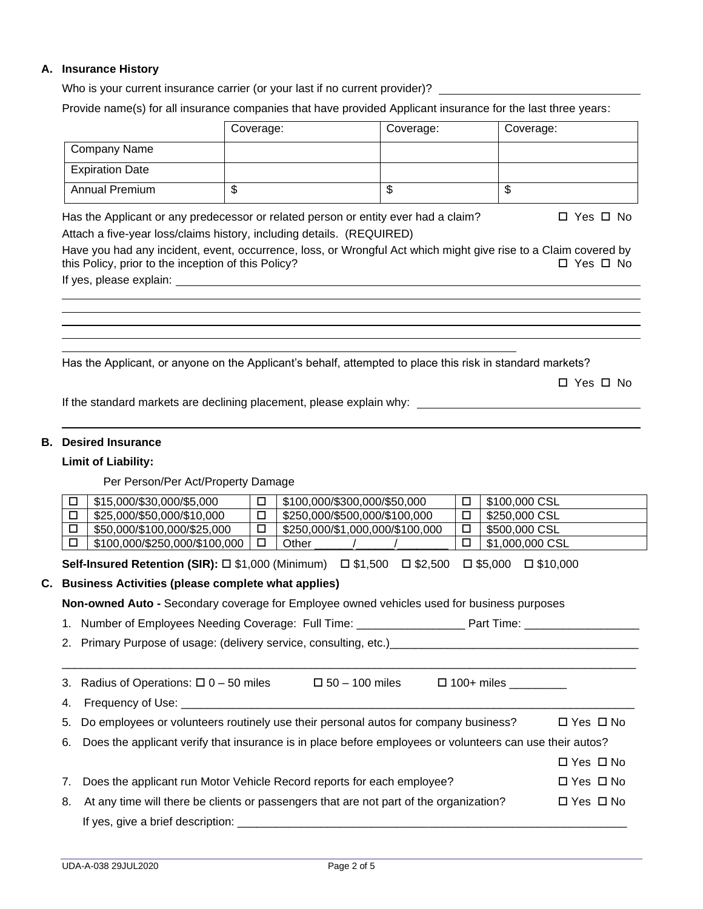## **A. Insurance History**

Who is your current insurance carrier (or your last if no current provider)? \_\_\_\_\_\_\_\_\_\_

Provide name(s) for all insurance companies that have provided Applicant insurance for the last three years:

|                        | Coverage: | Coverage: | Coverage: |
|------------------------|-----------|-----------|-----------|
| Company Name           |           |           |           |
| <b>Expiration Date</b> |           |           |           |
| <b>Annual Premium</b>  | Ψ         | Ψ         | ѡ         |

Has the Applicant or any predecessor or related person or entity ever had a claim?  $\Box$  Yes  $\Box$  No Attach a five-year loss/claims history, including details. (REQUIRED)

Have you had any incident, event, occurrence, loss, or Wrongful Act which might give rise to a Claim covered by this Policy, prior to the inception of this Policy?  $\Box$  Yes  $\Box$  No

If yes, please explain:

Has the Applicant, or anyone on the Applicant's behalf, attempted to place this risk in standard markets?

□ Yes □ No

If the standard markets are declining placement, please explain why:

## **B. Desired Insurance**

#### **Limit of Liability:**

Per Person/Per Act/Property Damage

| \$15,000/\$30,000/\$5,000     | \$100,000/\$300,000/\$50,000    |        | \$100,000 CSL   |
|-------------------------------|---------------------------------|--------|-----------------|
| \$25,000/\$50,000/\$10,000    | \$250,000/\$500,000/\$100,000   | 匸      | \$250,000 CSL   |
| \$50,000/\$100,000/\$25,000   | \$250,000/\$1,000,000/\$100,000 | $\Box$ | \$500,000 CSL   |
| \$100,000/\$250,000/\$100,000 | Other                           |        | \$1,000,000 CSL |

**Self-Insured Retention (SIR):** □ \$1,000 (Minimum) □ \$1,500 □ \$2,500 □ \$5,000 □ \$10,000

## **C. Business Activities (please complete what applies)**

**Non-owned Auto -** Secondary coverage for Employee owned vehicles used for business purposes

1. Number of Employees Needing Coverage: Full Time: \_\_\_\_\_\_\_\_\_\_\_\_\_\_\_\_\_ Part Time: \_\_\_\_\_\_\_\_\_\_\_\_\_\_\_\_\_\_

2. Primary Purpose of usage: (delivery service, consulting, etc.)\_\_\_\_\_\_\_\_\_\_\_\_\_\_\_

|    | 3. Radius of Operations: $\Box$ 0 – 50 miles                                                                | $\Box$ 50 - 100 miles | $\Box$ 100+ miles __________ |                      |
|----|-------------------------------------------------------------------------------------------------------------|-----------------------|------------------------------|----------------------|
|    | 4. Frequency of Use: _________                                                                              |                       |                              |                      |
|    | 5. Do employees or volunteers routinely use their personal autos for company business?                      |                       |                              | $\Box$ Yes $\Box$ No |
|    | 6. Does the applicant verify that insurance is in place before employees or volunteers can use their autos? |                       |                              |                      |
|    |                                                                                                             |                       |                              | $\Box$ Yes $\Box$ No |
| 7. | Does the applicant run Motor Vehicle Record reports for each employee?                                      |                       |                              | $\Box$ Yes $\Box$ No |
| 8. | At any time will there be clients or passengers that are not part of the organization?                      |                       |                              | $\Box$ Yes $\Box$ No |
|    |                                                                                                             |                       |                              |                      |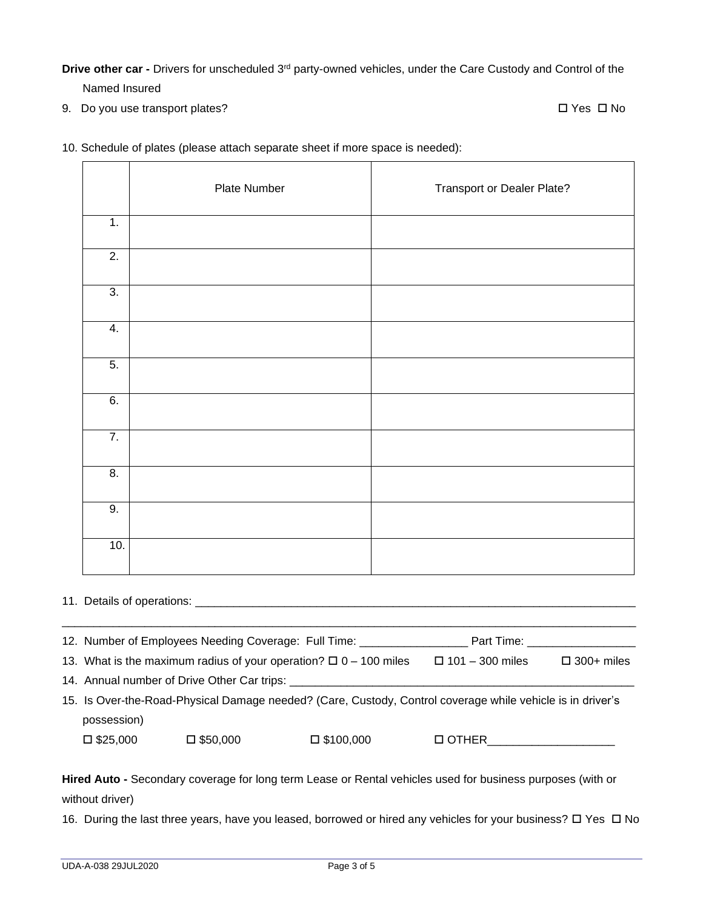**Drive other car -** Drivers for unscheduled 3<sup>rd</sup> party-owned vehicles, under the Care Custody and Control of the

Named Insured

9. Do you use transport plates? 
<br>
9. Do you use transport plates?

- Plate Number **Plate** Transport or Dealer Plate? 1. 2. 3. 4. 5. 6. 7. 8. 9. 10.
- 10. Schedule of plates (please attach separate sheet if more space is needed):

11. Details of operations:

| 12. Number of Employees Needing Coverage: Full Time:                                                       |                                                                        |                     | Part Time: The Second Second Second Second Second Second Second Second Second Second Second Second Second Second Second Second Second Second Second Second Second Second Second Second Second Second Second Second Second Seco |                      |  |
|------------------------------------------------------------------------------------------------------------|------------------------------------------------------------------------|---------------------|--------------------------------------------------------------------------------------------------------------------------------------------------------------------------------------------------------------------------------|----------------------|--|
|                                                                                                            | 13. What is the maximum radius of your operation? $\Box$ 0 – 100 miles |                     | $\Box$ 101 - 300 miles                                                                                                                                                                                                         | $\square$ 300+ miles |  |
| 14. Annual number of Drive Other Car trips:                                                                |                                                                        |                     |                                                                                                                                                                                                                                |                      |  |
| 15. Is Over-the-Road-Physical Damage needed? (Care, Custody, Control coverage while vehicle is in driver's |                                                                        |                     |                                                                                                                                                                                                                                |                      |  |
| possession)                                                                                                |                                                                        |                     |                                                                                                                                                                                                                                |                      |  |
| $\square$ \$25,000                                                                                         | $\square$ \$50,000                                                     | $\square$ \$100,000 | □ OTHER                                                                                                                                                                                                                        |                      |  |
|                                                                                                            |                                                                        |                     |                                                                                                                                                                                                                                |                      |  |

**Hired Auto -** Secondary coverage for long term Lease or Rental vehicles used for business purposes (with or without driver)

16. During the last three years, have you leased, borrowed or hired any vehicles for your business?  $\Box$  Yes  $\Box$  No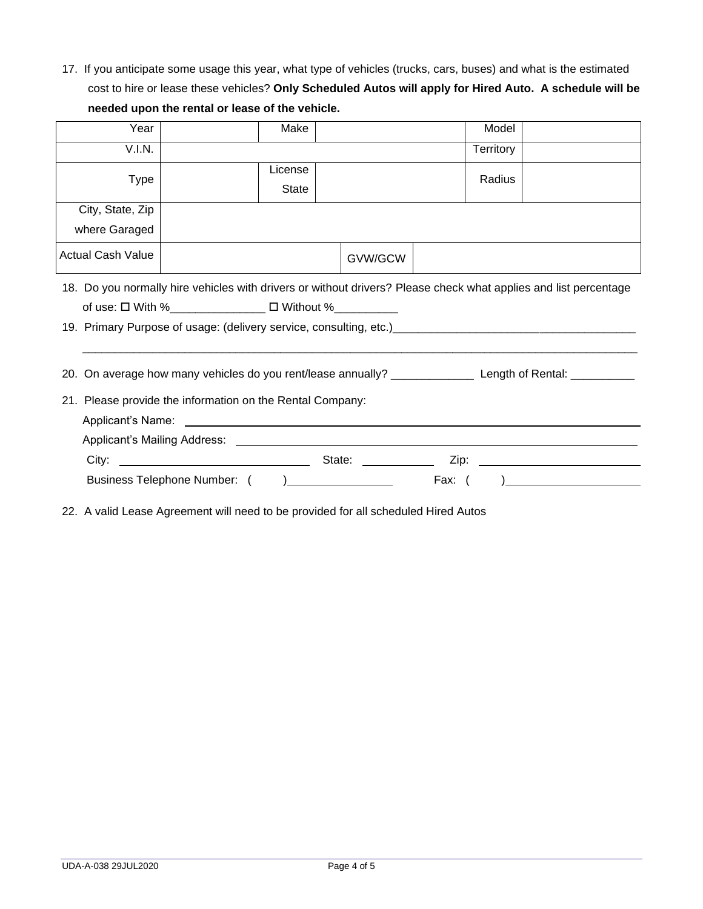17. If you anticipate some usage this year, what type of vehicles (trucks, cars, buses) and what is the estimated cost to hire or lease these vehicles? **Only Scheduled Autos will apply for Hired Auto. A schedule will be needed upon the rental or lease of the vehicle.**

| Year                                                                                                                                                                                                                                                                                                                                                                                                      | Make                    |         | Model            |                                                                |  |
|-----------------------------------------------------------------------------------------------------------------------------------------------------------------------------------------------------------------------------------------------------------------------------------------------------------------------------------------------------------------------------------------------------------|-------------------------|---------|------------------|----------------------------------------------------------------|--|
| V.I.N.                                                                                                                                                                                                                                                                                                                                                                                                    |                         |         | <b>Territory</b> |                                                                |  |
| <b>Type</b>                                                                                                                                                                                                                                                                                                                                                                                               | License<br><b>State</b> |         | Radius           |                                                                |  |
| City, State, Zip                                                                                                                                                                                                                                                                                                                                                                                          |                         |         |                  |                                                                |  |
| where Garaged                                                                                                                                                                                                                                                                                                                                                                                             |                         |         |                  |                                                                |  |
| Actual Cash Value                                                                                                                                                                                                                                                                                                                                                                                         |                         | GVW/GCW |                  |                                                                |  |
| 18. Do you normally hire vehicles with drivers or without drivers? Please check what applies and list percentage<br>of use: □ With %______________ □ Without %__________<br>19. Primary Purpose of usage: (delivery service, consulting, etc.) [19] The management of the control of the control of the control of the control of the control of the control of the control of the control of the control |                         |         |                  |                                                                |  |
| 20. On average how many vehicles do you rent/lease annually? ____________________ Length of Rental: __________                                                                                                                                                                                                                                                                                            |                         |         |                  |                                                                |  |
| 21. Please provide the information on the Rental Company:                                                                                                                                                                                                                                                                                                                                                 |                         |         |                  |                                                                |  |
|                                                                                                                                                                                                                                                                                                                                                                                                           |                         |         |                  |                                                                |  |
|                                                                                                                                                                                                                                                                                                                                                                                                           |                         |         |                  |                                                                |  |
|                                                                                                                                                                                                                                                                                                                                                                                                           |                         |         |                  | Zip: 2000                                                      |  |
|                                                                                                                                                                                                                                                                                                                                                                                                           |                         |         | Fax: $($         | ) and the contract of the contract of $\overline{\phantom{a}}$ |  |

22. A valid Lease Agreement will need to be provided for all scheduled Hired Autos